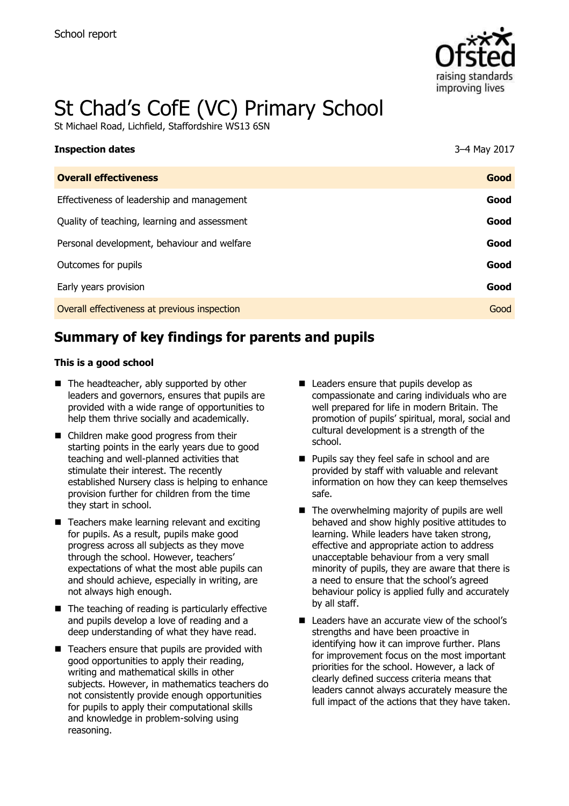

# St Chad's CofE (VC) Primary School

St Michael Road, Lichfield, Staffordshire WS13 6SN

| <b>Inspection dates</b>                      | 3-4 May 2017 |
|----------------------------------------------|--------------|
| <b>Overall effectiveness</b>                 | Good         |
| Effectiveness of leadership and management   | Good         |
| Quality of teaching, learning and assessment | Good         |
| Personal development, behaviour and welfare  | Good         |
| Outcomes for pupils                          | Good         |
| Early years provision                        | Good         |
| Overall effectiveness at previous inspection | Good         |

# **Summary of key findings for parents and pupils**

### **This is a good school**

- The headteacher, ably supported by other leaders and governors, ensures that pupils are provided with a wide range of opportunities to help them thrive socially and academically.
- Children make good progress from their starting points in the early years due to good teaching and well-planned activities that stimulate their interest. The recently established Nursery class is helping to enhance provision further for children from the time they start in school.
- Teachers make learning relevant and exciting for pupils. As a result, pupils make good progress across all subjects as they move through the school. However, teachers' expectations of what the most able pupils can and should achieve, especially in writing, are not always high enough.
- $\blacksquare$  The teaching of reading is particularly effective and pupils develop a love of reading and a deep understanding of what they have read.
- $\blacksquare$  Teachers ensure that pupils are provided with good opportunities to apply their reading, writing and mathematical skills in other subjects. However, in mathematics teachers do not consistently provide enough opportunities for pupils to apply their computational skills and knowledge in problem-solving using reasoning.
- Leaders ensure that pupils develop as compassionate and caring individuals who are well prepared for life in modern Britain. The promotion of pupils' spiritual, moral, social and cultural development is a strength of the school.
- **Pupils say they feel safe in school and are** provided by staff with valuable and relevant information on how they can keep themselves safe.
- $\blacksquare$  The overwhelming majority of pupils are well behaved and show highly positive attitudes to learning. While leaders have taken strong, effective and appropriate action to address unacceptable behaviour from a very small minority of pupils, they are aware that there is a need to ensure that the school's agreed behaviour policy is applied fully and accurately by all staff.
- Leaders have an accurate view of the school's strengths and have been proactive in identifying how it can improve further. Plans for improvement focus on the most important priorities for the school. However, a lack of clearly defined success criteria means that leaders cannot always accurately measure the full impact of the actions that they have taken.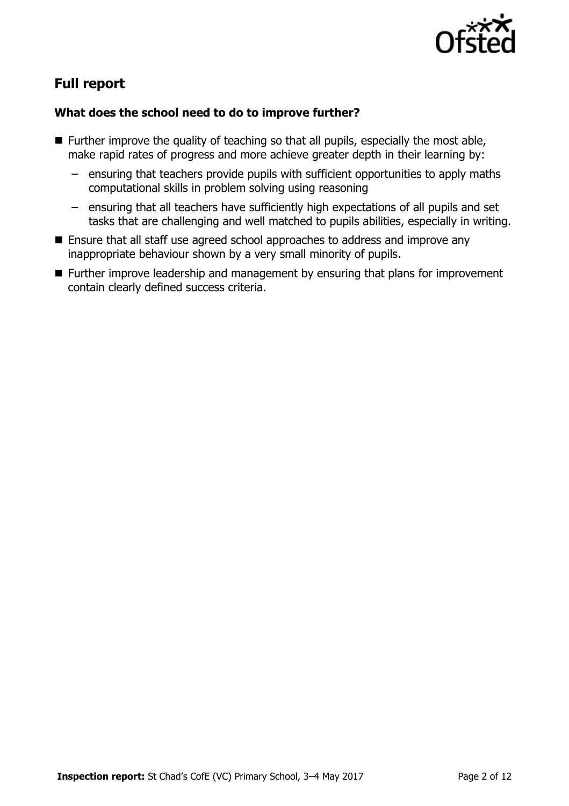

# **Full report**

### **What does the school need to do to improve further?**

- $\blacksquare$  Further improve the quality of teaching so that all pupils, especially the most able, make rapid rates of progress and more achieve greater depth in their learning by:
	- ensuring that teachers provide pupils with sufficient opportunities to apply maths computational skills in problem solving using reasoning
	- ensuring that all teachers have sufficiently high expectations of all pupils and set tasks that are challenging and well matched to pupils abilities, especially in writing.
- Ensure that all staff use agreed school approaches to address and improve any inappropriate behaviour shown by a very small minority of pupils.
- Further improve leadership and management by ensuring that plans for improvement contain clearly defined success criteria.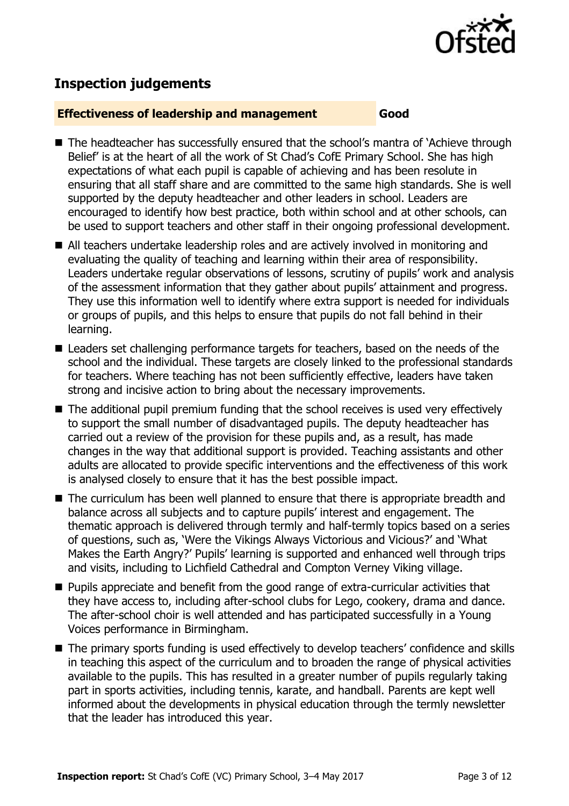

# **Inspection judgements**

### **Effectiveness of leadership and management Good**

- The headteacher has successfully ensured that the school's mantra of `Achieve through Belief' is at the heart of all the work of St Chad's CofE Primary School. She has high expectations of what each pupil is capable of achieving and has been resolute in ensuring that all staff share and are committed to the same high standards. She is well supported by the deputy headteacher and other leaders in school. Leaders are encouraged to identify how best practice, both within school and at other schools, can be used to support teachers and other staff in their ongoing professional development.
- All teachers undertake leadership roles and are actively involved in monitoring and evaluating the quality of teaching and learning within their area of responsibility. Leaders undertake regular observations of lessons, scrutiny of pupils' work and analysis of the assessment information that they gather about pupils' attainment and progress. They use this information well to identify where extra support is needed for individuals or groups of pupils, and this helps to ensure that pupils do not fall behind in their learning.
- Leaders set challenging performance targets for teachers, based on the needs of the school and the individual. These targets are closely linked to the professional standards for teachers. Where teaching has not been sufficiently effective, leaders have taken strong and incisive action to bring about the necessary improvements.
- The additional pupil premium funding that the school receives is used very effectively to support the small number of disadvantaged pupils. The deputy headteacher has carried out a review of the provision for these pupils and, as a result, has made changes in the way that additional support is provided. Teaching assistants and other adults are allocated to provide specific interventions and the effectiveness of this work is analysed closely to ensure that it has the best possible impact.
- The curriculum has been well planned to ensure that there is appropriate breadth and balance across all subjects and to capture pupils' interest and engagement. The thematic approach is delivered through termly and half-termly topics based on a series of questions, such as, 'Were the Vikings Always Victorious and Vicious?' and 'What Makes the Earth Angry?' Pupils' learning is supported and enhanced well through trips and visits, including to Lichfield Cathedral and Compton Verney Viking village.
- **Pupils appreciate and benefit from the good range of extra-curricular activities that** they have access to, including after-school clubs for Lego, cookery, drama and dance. The after-school choir is well attended and has participated successfully in a Young Voices performance in Birmingham.
- The primary sports funding is used effectively to develop teachers' confidence and skills in teaching this aspect of the curriculum and to broaden the range of physical activities available to the pupils. This has resulted in a greater number of pupils regularly taking part in sports activities, including tennis, karate, and handball. Parents are kept well informed about the developments in physical education through the termly newsletter that the leader has introduced this year.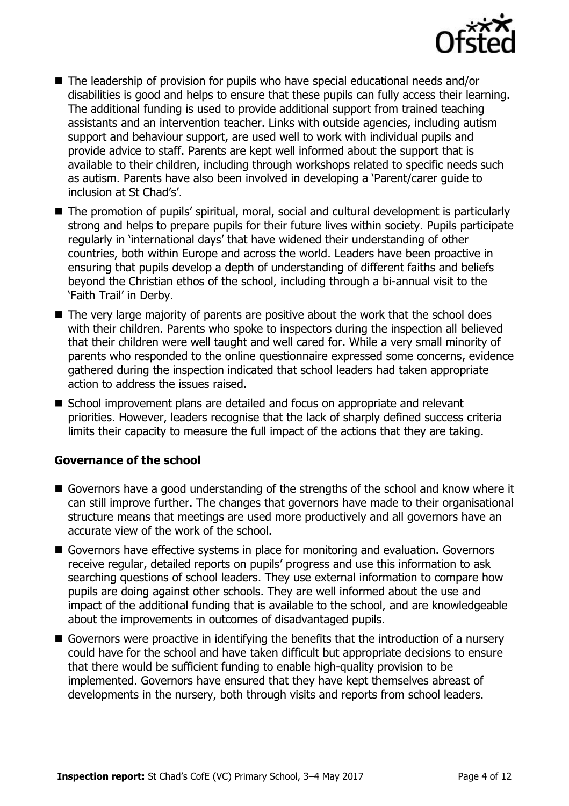

- The leadership of provision for pupils who have special educational needs and/or disabilities is good and helps to ensure that these pupils can fully access their learning. The additional funding is used to provide additional support from trained teaching assistants and an intervention teacher. Links with outside agencies, including autism support and behaviour support, are used well to work with individual pupils and provide advice to staff. Parents are kept well informed about the support that is available to their children, including through workshops related to specific needs such as autism. Parents have also been involved in developing a 'Parent/carer guide to inclusion at St Chad's'.
- The promotion of pupils' spiritual, moral, social and cultural development is particularly strong and helps to prepare pupils for their future lives within society. Pupils participate regularly in 'international days' that have widened their understanding of other countries, both within Europe and across the world. Leaders have been proactive in ensuring that pupils develop a depth of understanding of different faiths and beliefs beyond the Christian ethos of the school, including through a bi-annual visit to the 'Faith Trail' in Derby.
- The very large majority of parents are positive about the work that the school does with their children. Parents who spoke to inspectors during the inspection all believed that their children were well taught and well cared for. While a very small minority of parents who responded to the online questionnaire expressed some concerns, evidence gathered during the inspection indicated that school leaders had taken appropriate action to address the issues raised.
- School improvement plans are detailed and focus on appropriate and relevant priorities. However, leaders recognise that the lack of sharply defined success criteria limits their capacity to measure the full impact of the actions that they are taking.

### **Governance of the school**

- Governors have a good understanding of the strengths of the school and know where it can still improve further. The changes that governors have made to their organisational structure means that meetings are used more productively and all governors have an accurate view of the work of the school.
- Governors have effective systems in place for monitoring and evaluation. Governors receive regular, detailed reports on pupils' progress and use this information to ask searching questions of school leaders. They use external information to compare how pupils are doing against other schools. They are well informed about the use and impact of the additional funding that is available to the school, and are knowledgeable about the improvements in outcomes of disadvantaged pupils.
- Governors were proactive in identifying the benefits that the introduction of a nursery could have for the school and have taken difficult but appropriate decisions to ensure that there would be sufficient funding to enable high-quality provision to be implemented. Governors have ensured that they have kept themselves abreast of developments in the nursery, both through visits and reports from school leaders.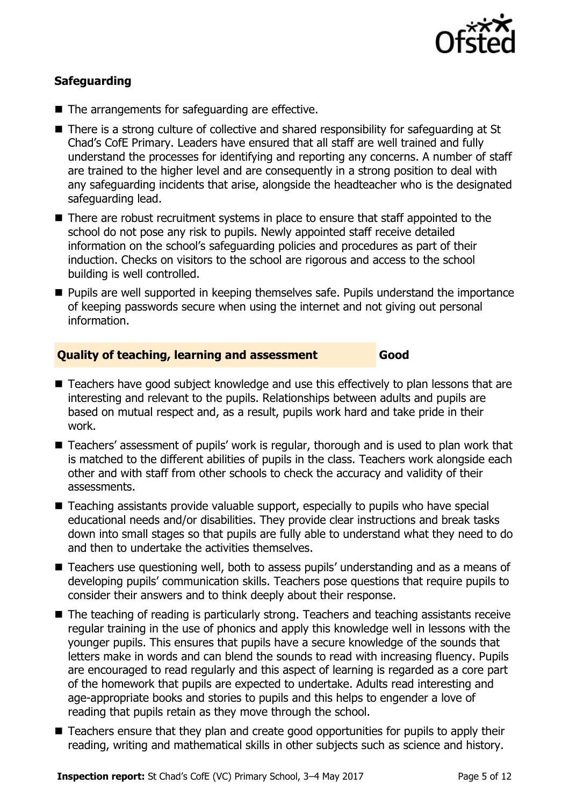

### **Safeguarding**

- The arrangements for safeguarding are effective.
- There is a strong culture of collective and shared responsibility for safeguarding at St Chad's CofE Primary. Leaders have ensured that all staff are well trained and fully understand the processes for identifying and reporting any concerns. A number of staff are trained to the higher level and are consequently in a strong position to deal with any safeguarding incidents that arise, alongside the headteacher who is the designated safeguarding lead.
- There are robust recruitment systems in place to ensure that staff appointed to the school do not pose any risk to pupils. Newly appointed staff receive detailed information on the school's safeguarding policies and procedures as part of their induction. Checks on visitors to the school are rigorous and access to the school building is well controlled.
- **Pupils are well supported in keeping themselves safe. Pupils understand the importance** of keeping passwords secure when using the internet and not giving out personal information.

### **Quality of teaching, learning and assessment Good**

- Teachers have good subject knowledge and use this effectively to plan lessons that are interesting and relevant to the pupils. Relationships between adults and pupils are based on mutual respect and, as a result, pupils work hard and take pride in their work.
- Teachers' assessment of pupils' work is regular, thorough and is used to plan work that is matched to the different abilities of pupils in the class. Teachers work alongside each other and with staff from other schools to check the accuracy and validity of their assessments.
- Teaching assistants provide valuable support, especially to pupils who have special educational needs and/or disabilities. They provide clear instructions and break tasks down into small stages so that pupils are fully able to understand what they need to do and then to undertake the activities themselves.
- Teachers use questioning well, both to assess pupils' understanding and as a means of developing pupils' communication skills. Teachers pose questions that require pupils to consider their answers and to think deeply about their response.
- The teaching of reading is particularly strong. Teachers and teaching assistants receive regular training in the use of phonics and apply this knowledge well in lessons with the younger pupils. This ensures that pupils have a secure knowledge of the sounds that letters make in words and can blend the sounds to read with increasing fluency. Pupils are encouraged to read regularly and this aspect of learning is regarded as a core part of the homework that pupils are expected to undertake. Adults read interesting and age-appropriate books and stories to pupils and this helps to engender a love of reading that pupils retain as they move through the school.
- Teachers ensure that they plan and create good opportunities for pupils to apply their reading, writing and mathematical skills in other subjects such as science and history.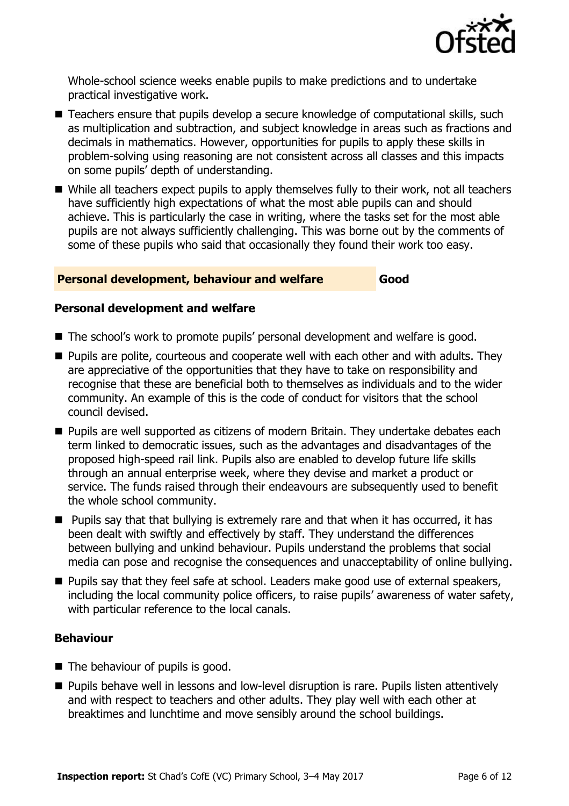

Whole-school science weeks enable pupils to make predictions and to undertake practical investigative work.

- Teachers ensure that pupils develop a secure knowledge of computational skills, such as multiplication and subtraction, and subject knowledge in areas such as fractions and decimals in mathematics. However, opportunities for pupils to apply these skills in problem-solving using reasoning are not consistent across all classes and this impacts on some pupils' depth of understanding.
- While all teachers expect pupils to apply themselves fully to their work, not all teachers have sufficiently high expectations of what the most able pupils can and should achieve. This is particularly the case in writing, where the tasks set for the most able pupils are not always sufficiently challenging. This was borne out by the comments of some of these pupils who said that occasionally they found their work too easy.

### **Personal development, behaviour and welfare Good**

### **Personal development and welfare**

- The school's work to promote pupils' personal development and welfare is good.
- **Pupils are polite, courteous and cooperate well with each other and with adults. They** are appreciative of the opportunities that they have to take on responsibility and recognise that these are beneficial both to themselves as individuals and to the wider community. An example of this is the code of conduct for visitors that the school council devised.
- **Pupils are well supported as citizens of modern Britain. They undertake debates each** term linked to democratic issues, such as the advantages and disadvantages of the proposed high-speed rail link. Pupils also are enabled to develop future life skills through an annual enterprise week, where they devise and market a product or service. The funds raised through their endeavours are subsequently used to benefit the whole school community.
- $\blacksquare$  Pupils say that that bullying is extremely rare and that when it has occurred, it has been dealt with swiftly and effectively by staff. They understand the differences between bullying and unkind behaviour. Pupils understand the problems that social media can pose and recognise the consequences and unacceptability of online bullying.
- **Pupils say that they feel safe at school. Leaders make good use of external speakers,** including the local community police officers, to raise pupils' awareness of water safety, with particular reference to the local canals.

### **Behaviour**

- The behaviour of pupils is good.
- **Pupils behave well in lessons and low-level disruption is rare. Pupils listen attentively** and with respect to teachers and other adults. They play well with each other at breaktimes and lunchtime and move sensibly around the school buildings.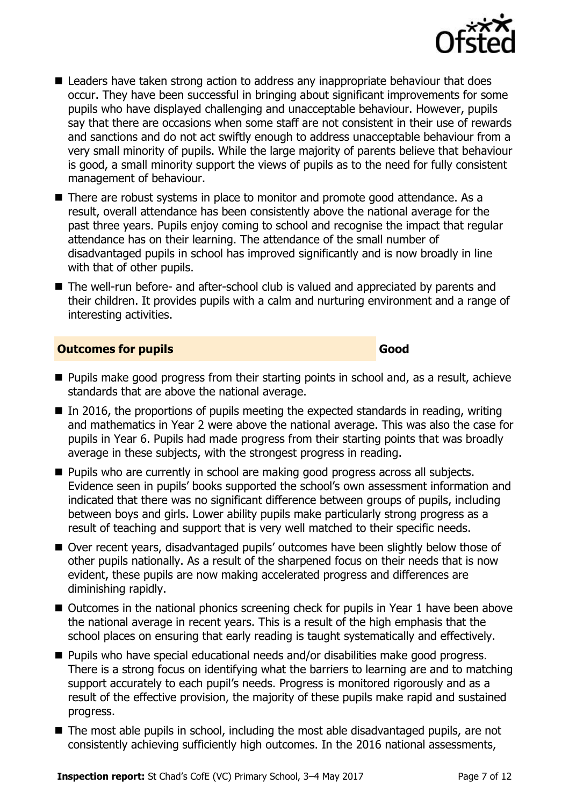

- Leaders have taken strong action to address any inappropriate behaviour that does occur. They have been successful in bringing about significant improvements for some pupils who have displayed challenging and unacceptable behaviour. However, pupils say that there are occasions when some staff are not consistent in their use of rewards and sanctions and do not act swiftly enough to address unacceptable behaviour from a very small minority of pupils. While the large majority of parents believe that behaviour is good, a small minority support the views of pupils as to the need for fully consistent management of behaviour.
- There are robust systems in place to monitor and promote good attendance. As a result, overall attendance has been consistently above the national average for the past three years. Pupils enjoy coming to school and recognise the impact that regular attendance has on their learning. The attendance of the small number of disadvantaged pupils in school has improved significantly and is now broadly in line with that of other pupils.
- The well-run before- and after-school club is valued and appreciated by parents and their children. It provides pupils with a calm and nurturing environment and a range of interesting activities.

### **Outcomes for pupils Good**

- **Pupils make good progress from their starting points in school and, as a result, achieve** standards that are above the national average.
- $\blacksquare$  In 2016, the proportions of pupils meeting the expected standards in reading, writing and mathematics in Year 2 were above the national average. This was also the case for pupils in Year 6. Pupils had made progress from their starting points that was broadly average in these subjects, with the strongest progress in reading.
- **Pupils who are currently in school are making good progress across all subjects.** Evidence seen in pupils' books supported the school's own assessment information and indicated that there was no significant difference between groups of pupils, including between boys and girls. Lower ability pupils make particularly strong progress as a result of teaching and support that is very well matched to their specific needs.
- Over recent years, disadvantaged pupils' outcomes have been slightly below those of other pupils nationally. As a result of the sharpened focus on their needs that is now evident, these pupils are now making accelerated progress and differences are diminishing rapidly.
- Outcomes in the national phonics screening check for pupils in Year 1 have been above the national average in recent years. This is a result of the high emphasis that the school places on ensuring that early reading is taught systematically and effectively.
- **Pupils who have special educational needs and/or disabilities make good progress.** There is a strong focus on identifying what the barriers to learning are and to matching support accurately to each pupil's needs. Progress is monitored rigorously and as a result of the effective provision, the majority of these pupils make rapid and sustained progress.
- The most able pupils in school, including the most able disadvantaged pupils, are not consistently achieving sufficiently high outcomes. In the 2016 national assessments,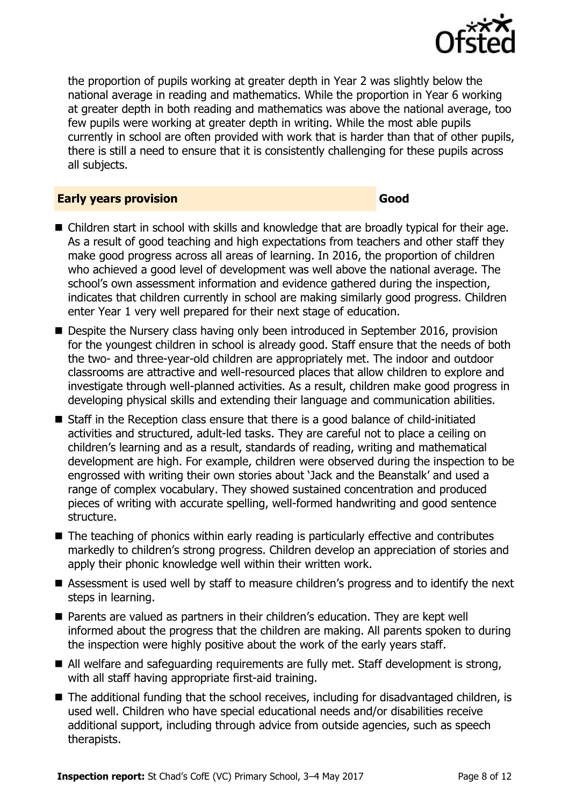

the proportion of pupils working at greater depth in Year 2 was slightly below the national average in reading and mathematics. While the proportion in Year 6 working at greater depth in both reading and mathematics was above the national average, too few pupils were working at greater depth in writing. While the most able pupils currently in school are often provided with work that is harder than that of other pupils, there is still a need to ensure that it is consistently challenging for these pupils across all subjects.

### **Early years provision Good**

- Children start in school with skills and knowledge that are broadly typical for their age. As a result of good teaching and high expectations from teachers and other staff they make good progress across all areas of learning. In 2016, the proportion of children who achieved a good level of development was well above the national average. The school's own assessment information and evidence gathered during the inspection, indicates that children currently in school are making similarly good progress. Children enter Year 1 very well prepared for their next stage of education.
- Despite the Nursery class having only been introduced in September 2016, provision for the youngest children in school is already good. Staff ensure that the needs of both the two- and three-year-old children are appropriately met. The indoor and outdoor classrooms are attractive and well-resourced places that allow children to explore and investigate through well-planned activities. As a result, children make good progress in developing physical skills and extending their language and communication abilities.
- Staff in the Reception class ensure that there is a good balance of child-initiated activities and structured, adult-led tasks. They are careful not to place a ceiling on children's learning and as a result, standards of reading, writing and mathematical development are high. For example, children were observed during the inspection to be engrossed with writing their own stories about 'Jack and the Beanstalk' and used a range of complex vocabulary. They showed sustained concentration and produced pieces of writing with accurate spelling, well-formed handwriting and good sentence structure.
- The teaching of phonics within early reading is particularly effective and contributes markedly to children's strong progress. Children develop an appreciation of stories and apply their phonic knowledge well within their written work.
- Assessment is used well by staff to measure children's progress and to identify the next steps in learning.
- Parents are valued as partners in their children's education. They are kept well informed about the progress that the children are making. All parents spoken to during the inspection were highly positive about the work of the early years staff.
- All welfare and safeguarding requirements are fully met. Staff development is strong, with all staff having appropriate first-aid training.
- The additional funding that the school receives, including for disadvantaged children, is used well. Children who have special educational needs and/or disabilities receive additional support, including through advice from outside agencies, such as speech therapists.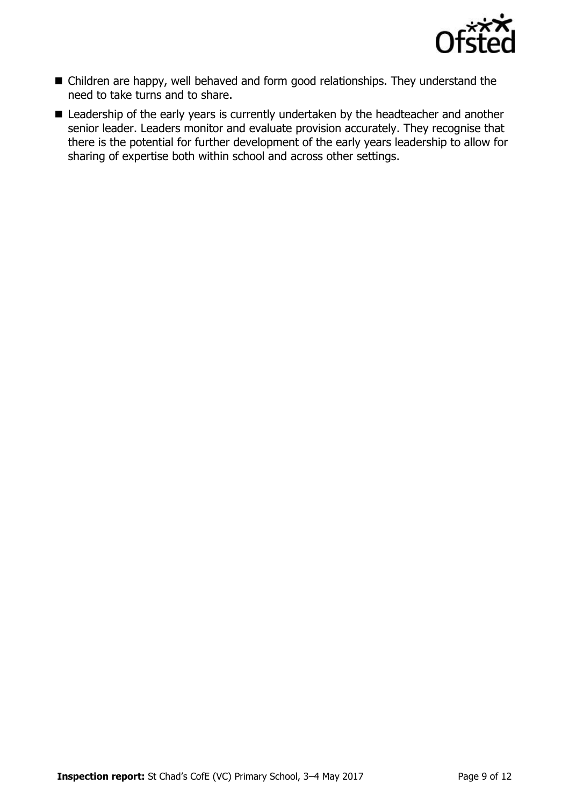

- Children are happy, well behaved and form good relationships. They understand the need to take turns and to share.
- **E** Leadership of the early years is currently undertaken by the headteacher and another senior leader. Leaders monitor and evaluate provision accurately. They recognise that there is the potential for further development of the early years leadership to allow for sharing of expertise both within school and across other settings.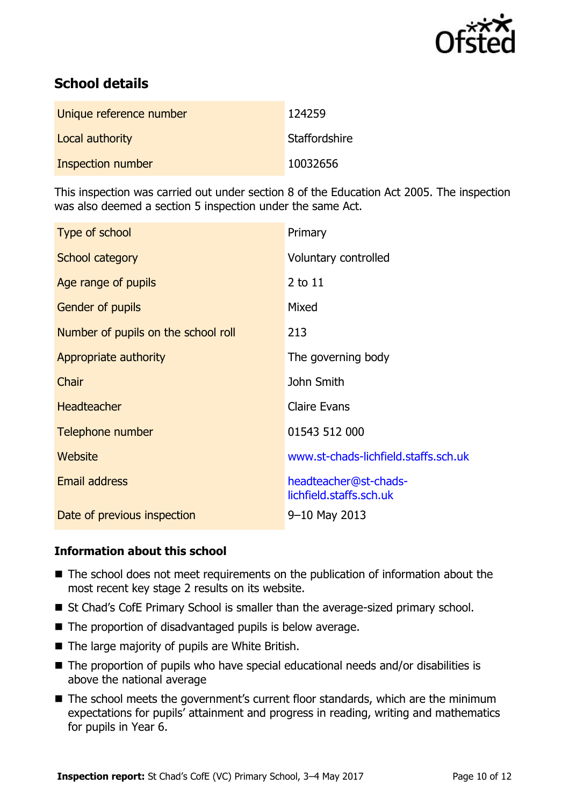

# **School details**

| Unique reference number | 124259        |
|-------------------------|---------------|
| Local authority         | Staffordshire |
| Inspection number       | 10032656      |

This inspection was carried out under section 8 of the Education Act 2005. The inspection was also deemed a section 5 inspection under the same Act.

| Type of school                      | Primary                                          |
|-------------------------------------|--------------------------------------------------|
| School category                     | Voluntary controlled                             |
| Age range of pupils                 | 2 to 11                                          |
| Gender of pupils                    | Mixed                                            |
| Number of pupils on the school roll | 213                                              |
| Appropriate authority               | The governing body                               |
| Chair                               | John Smith                                       |
| Headteacher                         | <b>Claire Evans</b>                              |
| Telephone number                    | 01543 512 000                                    |
| Website                             | www.st-chads-lichfield.staffs.sch.uk             |
| <b>Email address</b>                | headteacher@st-chads-<br>lichfield.staffs.sch.uk |
| Date of previous inspection         | $9 - 10$ May 2013                                |

### **Information about this school**

- The school does not meet requirements on the publication of information about the most recent key stage 2 results on its website.
- St Chad's CofE Primary School is smaller than the average-sized primary school.
- $\blacksquare$  The proportion of disadvantaged pupils is below average.
- $\blacksquare$  The large majority of pupils are White British.
- The proportion of pupils who have special educational needs and/or disabilities is above the national average
- The school meets the government's current floor standards, which are the minimum expectations for pupils' attainment and progress in reading, writing and mathematics for pupils in Year 6.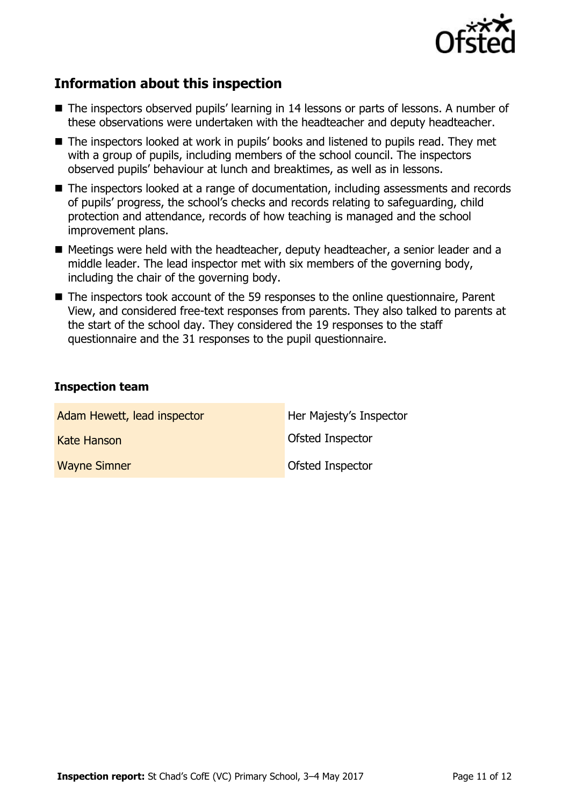

## **Information about this inspection**

- The inspectors observed pupils' learning in 14 lessons or parts of lessons. A number of these observations were undertaken with the headteacher and deputy headteacher.
- The inspectors looked at work in pupils' books and listened to pupils read. They met with a group of pupils, including members of the school council. The inspectors observed pupils' behaviour at lunch and breaktimes, as well as in lessons.
- The inspectors looked at a range of documentation, including assessments and records of pupils' progress, the school's checks and records relating to safeguarding, child protection and attendance, records of how teaching is managed and the school improvement plans.
- Meetings were held with the headteacher, deputy headteacher, a senior leader and a middle leader. The lead inspector met with six members of the governing body, including the chair of the governing body.
- The inspectors took account of the 59 responses to the online questionnaire, Parent View, and considered free-text responses from parents. They also talked to parents at the start of the school day. They considered the 19 responses to the staff questionnaire and the 31 responses to the pupil questionnaire.

### **Inspection team**

| Adam Hewett, lead inspector | Her Majesty's Inspector |
|-----------------------------|-------------------------|
| <b>Kate Hanson</b>          | <b>Ofsted Inspector</b> |
| <b>Wayne Simner</b>         | <b>Ofsted Inspector</b> |